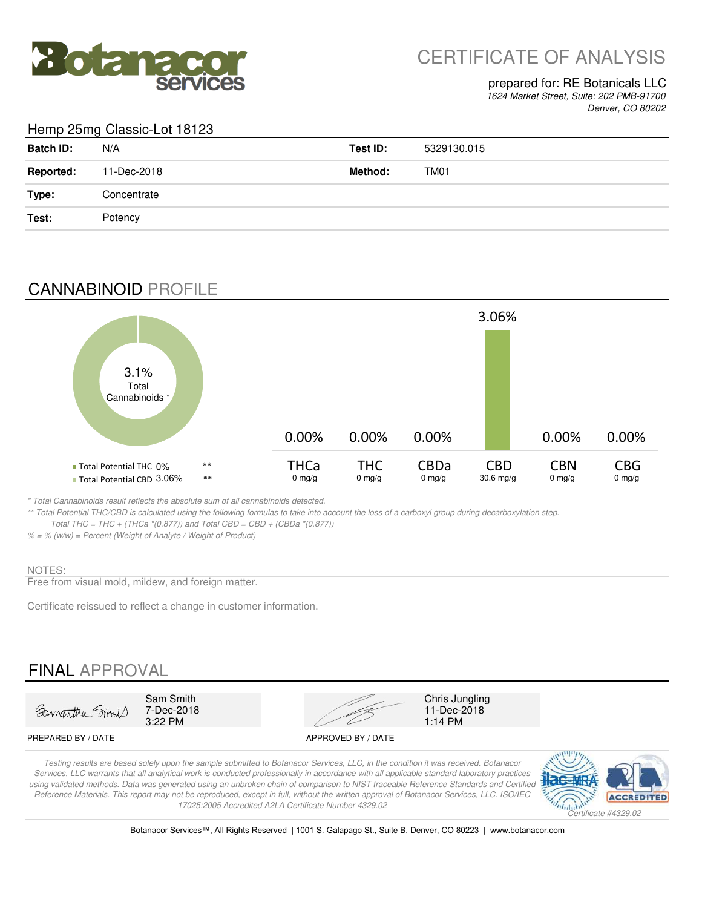

# CERTIFICATE OF ANALYSIS

### prepared for: RE Botanicals LLC

*1624 Market Street, Suite: 202 PMB-91700 Denver, CO 80202*

### Hemp 25mg Classic-Lot 18123

| <b>Batch ID:</b> | N/A         | Test ID: | 5329130.015      |
|------------------|-------------|----------|------------------|
| <b>Reported:</b> | 11-Dec-2018 | Method:  | TM <sub>01</sub> |
| Type:            | Concentrate |          |                  |
| Test:            | Potency     |          |                  |

## CANNABINOID PROFILE



*\* Total Cannabinoids result reflects the absolute sum of all cannabinoids detected.*

*\*\* Total Potential THC/CBD is calculated using the following formulas to take into account the loss of a carboxyl group during decarboxylation step. Total THC = THC + (THCa \*(0.877)) and Total CBD = CBD + (CBDa \*(0.877))*

### *% = % (w/w) = Percent (Weight of Analyte / Weight of Product)*

#### NOTES:

Free from visual mold, mildew, and foreign matter.

Certificate reissued to reflect a change in customer information.

# FINAL APPROVAL



7-Dec-2018<br>3:22 PM



11-Dec-2018<br>1:14 PM

#### PREPARED BY / DATE APPROVED BY / DATE

*Testing results are based solely upon the sample submitted to Botanacor Services, LLC, in the condition it was received. Botanacor Services, LLC warrants that all analytical work is conducted professionally in accordance with all applicable standard laboratory practices*  using validated methods. Data was generated using an unbroken chain of comparison to NIST traceable Reference Standards and Certified *Reference Materials. This report may not be reproduced, except in full, without the written approval of Botanacor Services, LLC. ISO/IEC 17025:2005 Accredited A2LA Certificate Number 4329.02*



Botanacor Services™, All Rights Reserved | 1001 S. Galapago St., Suite B, Denver, CO 80223 | www.botanacor.com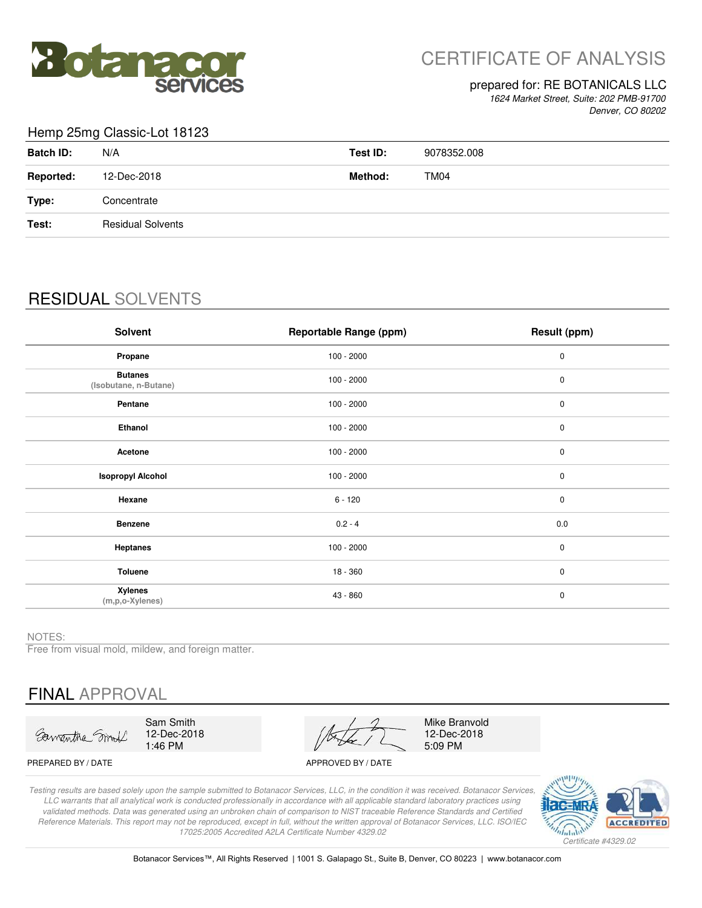

# CERTIFICATE OF ANALYSIS

#### prepared for: RE BOTANICALS LLC

*1624 Market Street, Suite: 202 PMB-91700 Denver, CO 80202*

#### Hemp 25mg Classic-Lot 18123

| <b>Batch ID:</b> | N/A                      | Test ID: | 9078352.008 |
|------------------|--------------------------|----------|-------------|
| <b>Reported:</b> | 12-Dec-2018              | Method:  | TM04        |
| Type:            | Concentrate              |          |             |
| Test:            | <b>Residual Solvents</b> |          |             |
|                  |                          |          |             |

# RESIDUAL SOLVENTS

| <b>Solvent</b>                          | <b>Reportable Range (ppm)</b> | Result (ppm) |
|-----------------------------------------|-------------------------------|--------------|
| Propane                                 | $100 - 2000$                  | 0            |
| <b>Butanes</b><br>(Isobutane, n-Butane) | $100 - 2000$                  | $\pmb{0}$    |
| Pentane                                 | $100 - 2000$                  | $\pmb{0}$    |
| Ethanol                                 | $100 - 2000$                  | $\pmb{0}$    |
| Acetone                                 | $100 - 2000$                  | $\pmb{0}$    |
| <b>Isopropyl Alcohol</b>                | $100 - 2000$                  | $\pmb{0}$    |
| Hexane                                  | $6 - 120$                     | $\pmb{0}$    |
| <b>Benzene</b>                          | $0.2 - 4$                     | 0.0          |
| Heptanes                                | $100 - 2000$                  | $\pmb{0}$    |
| Toluene                                 | $18 - 360$                    | $\pmb{0}$    |
| <b>Xylenes</b><br>(m,p,o-Xylenes)       | 43 - 860                      | $\pmb{0}$    |

NOTES:

Free from visual mold, mildew, and foreign matter.

# FINAL APPROVAL

Sawantha Smit

Sam Smith 12-Dec-2018 1:46 PM

Mike Branvold 12-Dec-2018 5:09 PM

PREPARED BY / DATE APPROVED BY / DATE

*Testing results are based solely upon the sample submitted to Botanacor Services, LLC, in the condition it was received. Botanacor Services, LLC warrants that all analytical work is conducted professionally in accordance with all applicable standard laboratory practices using validated methods. Data was generated using an unbroken chain of comparison to NIST traceable Reference Standards and Certified Reference Materials. This report may not be reproduced, except in full, without the written approval of Botanacor Services, LLC. ISO/IEC 17025:2005 Accredited A2LA Certificate Number 4329.02*



Botanacor Services™, All Rights Reserved | 1001 S. Galapago St., Suite B, Denver, CO 80223 | www.botanacor.com